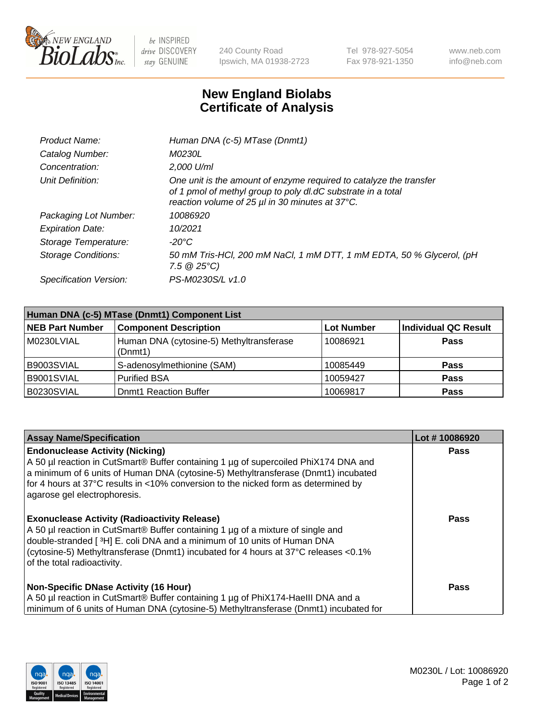

 $be$  INSPIRED drive DISCOVERY stay GENUINE

240 County Road Ipswich, MA 01938-2723 Tel 978-927-5054 Fax 978-921-1350 www.neb.com info@neb.com

## **New England Biolabs Certificate of Analysis**

| Product Name:           | Human DNA (c-5) MTase (Dnmt1)                                                                                                                                                         |
|-------------------------|---------------------------------------------------------------------------------------------------------------------------------------------------------------------------------------|
| Catalog Number:         | <i>M0230L</i>                                                                                                                                                                         |
| Concentration:          | 2,000 U/ml                                                                                                                                                                            |
| Unit Definition:        | One unit is the amount of enzyme required to catalyze the transfer<br>of 1 pmol of methyl group to poly dl.dC substrate in a total<br>reaction volume of 25 µl in 30 minutes at 37°C. |
| Packaging Lot Number:   | 10086920                                                                                                                                                                              |
| <b>Expiration Date:</b> | 10/2021                                                                                                                                                                               |
| Storage Temperature:    | $-20^{\circ}$ C                                                                                                                                                                       |
| Storage Conditions:     | 50 mM Tris-HCl, 200 mM NaCl, 1 mM DTT, 1 mM EDTA, 50 % Glycerol, (pH<br>7.5 $@25°C$ )                                                                                                 |
| Specification Version:  | PS-M0230S/L v1.0                                                                                                                                                                      |

| Human DNA (c-5) MTase (Dnmt1) Component List |                                                     |                   |                      |  |  |
|----------------------------------------------|-----------------------------------------------------|-------------------|----------------------|--|--|
| <b>NEB Part Number</b>                       | <b>Component Description</b>                        | <b>Lot Number</b> | Individual QC Result |  |  |
| M0230LVIAL                                   | Human DNA (cytosine-5) Methyltransferase<br>(Dnmt1) | 10086921          | Pass                 |  |  |
| B9003SVIAL                                   | S-adenosylmethionine (SAM)                          | 10085449          | <b>Pass</b>          |  |  |
| B9001SVIAL                                   | <b>Purified BSA</b>                                 | 10059427          | <b>Pass</b>          |  |  |
| B0230SVIAL                                   | <b>Dnmt1 Reaction Buffer</b>                        | 10069817          | <b>Pass</b>          |  |  |

| <b>Assay Name/Specification</b>                                                                                                                                                                                                                                                                                                           | Lot #10086920 |
|-------------------------------------------------------------------------------------------------------------------------------------------------------------------------------------------------------------------------------------------------------------------------------------------------------------------------------------------|---------------|
| <b>Endonuclease Activity (Nicking)</b><br>A 50 µl reaction in CutSmart® Buffer containing 1 µg of supercoiled PhiX174 DNA and<br>a minimum of 6 units of Human DNA (cytosine-5) Methyltransferase (Dnmt1) incubated<br>for 4 hours at 37°C results in <10% conversion to the nicked form as determined by<br>agarose gel electrophoresis. | Pass          |
| <b>Exonuclease Activity (Radioactivity Release)</b><br>A 50 µl reaction in CutSmart® Buffer containing 1 µg of a mixture of single and<br>double-stranded [3H] E. coli DNA and a minimum of 10 units of Human DNA<br>(cytosine-5) Methyltransferase (Dnmt1) incubated for 4 hours at 37°C releases <0.1%<br>of the total radioactivity.   | <b>Pass</b>   |
| <b>Non-Specific DNase Activity (16 Hour)</b><br>A 50 µl reaction in CutSmart® Buffer containing 1 µg of PhiX174-HaellI DNA and a<br>minimum of 6 units of Human DNA (cytosine-5) Methyltransferase (Dnmt1) incubated for                                                                                                                  | <b>Pass</b>   |